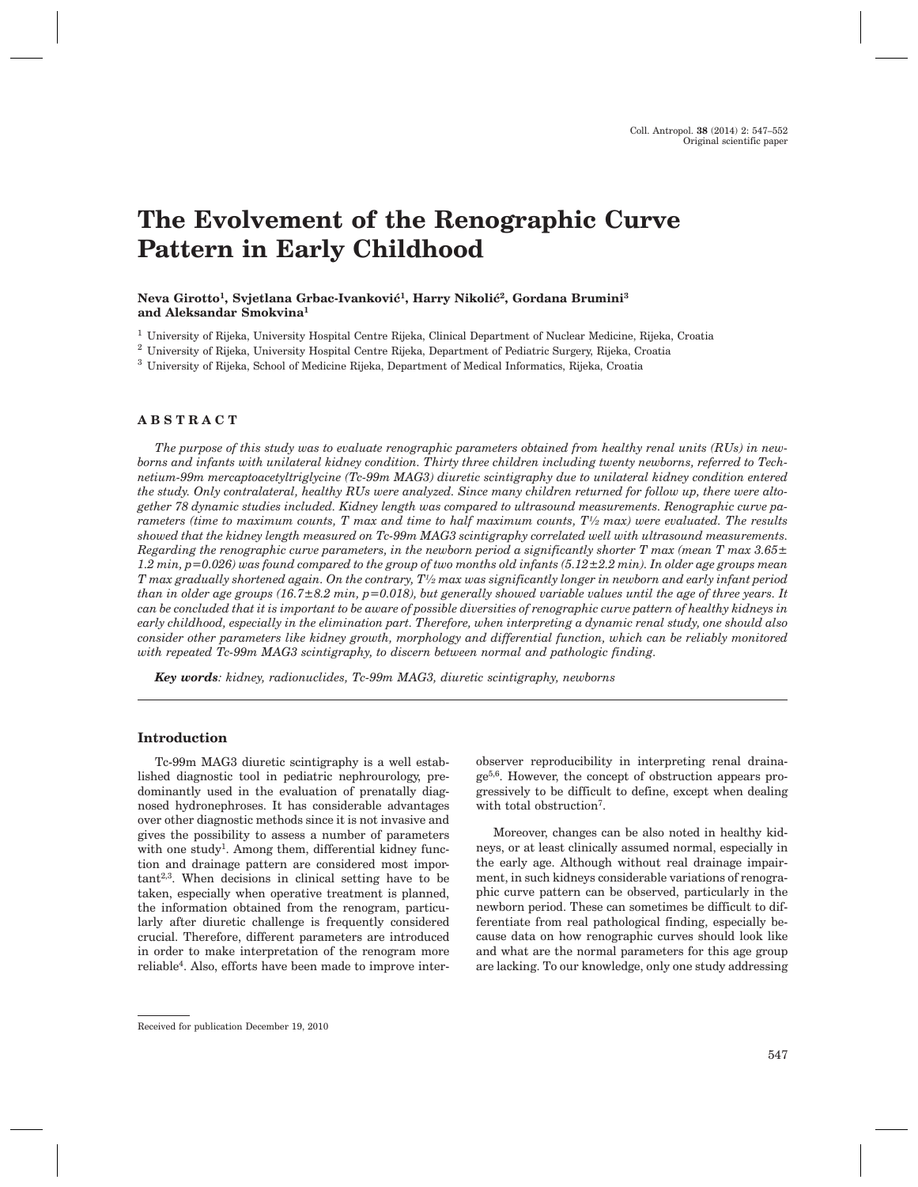# **The Evolvement of the Renographic Curve Pattern in Early Childhood**

#### Neva Girotto<sup>1</sup>, Svjetlana Grbac-Ivanković<sup>1</sup>, Harry Nikolić<sup>2</sup>, Gordana Brumini<sup>3</sup> **and Aleksandar Smokvina1**

<sup>1</sup> University of Rijeka, University Hospital Centre Rijeka, Clinical Department of Nuclear Medicine, Rijeka, Croatia

<sup>2</sup> University of Rijeka, University Hospital Centre Rijeka, Department of Pediatric Surgery, Rijeka, Croatia

<sup>3</sup> University of Rijeka, School of Medicine Rijeka, Department of Medical Informatics, Rijeka, Croatia

#### **ABSTRACT**

*The purpose of this study was to evaluate renographic parameters obtained from healthy renal units (RUs) in newborns and infants with unilateral kidney condition. Thirty three children including twenty newborns, referred to Technetium-99m mercaptoacetyltriglycine (Tc-99m MAG3) diuretic scintigraphy due to unilateral kidney condition entered the study. Only contralateral, healthy RUs were analyzed. Since many children returned for follow up, there were altogether 78 dynamic studies included. Kidney length was compared to ultrasound measurements. Renographic curve parameters (time to maximum counts, T max and time to half maximum counts, T½ max) were evaluated. The results showed that the kidney length measured on Tc-99m MAG3 scintigraphy correlated well with ultrasound measurements. Regarding the renographic curve parameters, in the newborn period a significantly shorter T max (mean T max 3.65± 1.2 min, p=0.026) was found compared to the group of two months old infants (5.12±2.2 min). In older age groups mean T max gradually shortened again. On the contrary, T½ max was significantly longer in newborn and early infant period than in older age groups (16.7±8.2 min, p=0.018), but generally showed variable values until the age of three years. It can be concluded that it is important to be aware of possible diversities of renographic curve pattern of healthy kidneys in early childhood, especially in the elimination part. Therefore, when interpreting a dynamic renal study, one should also consider other parameters like kidney growth, morphology and differential function, which can be reliably monitored with repeated Tc-99m MAG3 scintigraphy, to discern between normal and pathologic finding.*

*Key words: kidney, radionuclides, Tc-99m MAG3, diuretic scintigraphy, newborns*

#### **Introduction**

Tc-99m MAG3 diuretic scintigraphy is a well established diagnostic tool in pediatric nephrourology, predominantly used in the evaluation of prenatally diagnosed hydronephroses. It has considerable advantages over other diagnostic methods since it is not invasive and gives the possibility to assess a number of parameters with one study<sup>1</sup>. Among them, differential kidney function and drainage pattern are considered most important2,3. When decisions in clinical setting have to be taken, especially when operative treatment is planned, the information obtained from the renogram, particularly after diuretic challenge is frequently considered crucial. Therefore, different parameters are introduced in order to make interpretation of the renogram more reliable4. Also, efforts have been made to improve interobserver reproducibility in interpreting renal drainage5,6. However, the concept of obstruction appears progressively to be difficult to define, except when dealing with total obstruction<sup>7</sup>.

Moreover, changes can be also noted in healthy kidneys, or at least clinically assumed normal, especially in the early age. Although without real drainage impairment, in such kidneys considerable variations of renographic curve pattern can be observed, particularly in the newborn period. These can sometimes be difficult to differentiate from real pathological finding, especially because data on how renographic curves should look like and what are the normal parameters for this age group are lacking. To our knowledge, only one study addressing

Received for publication December 19, 2010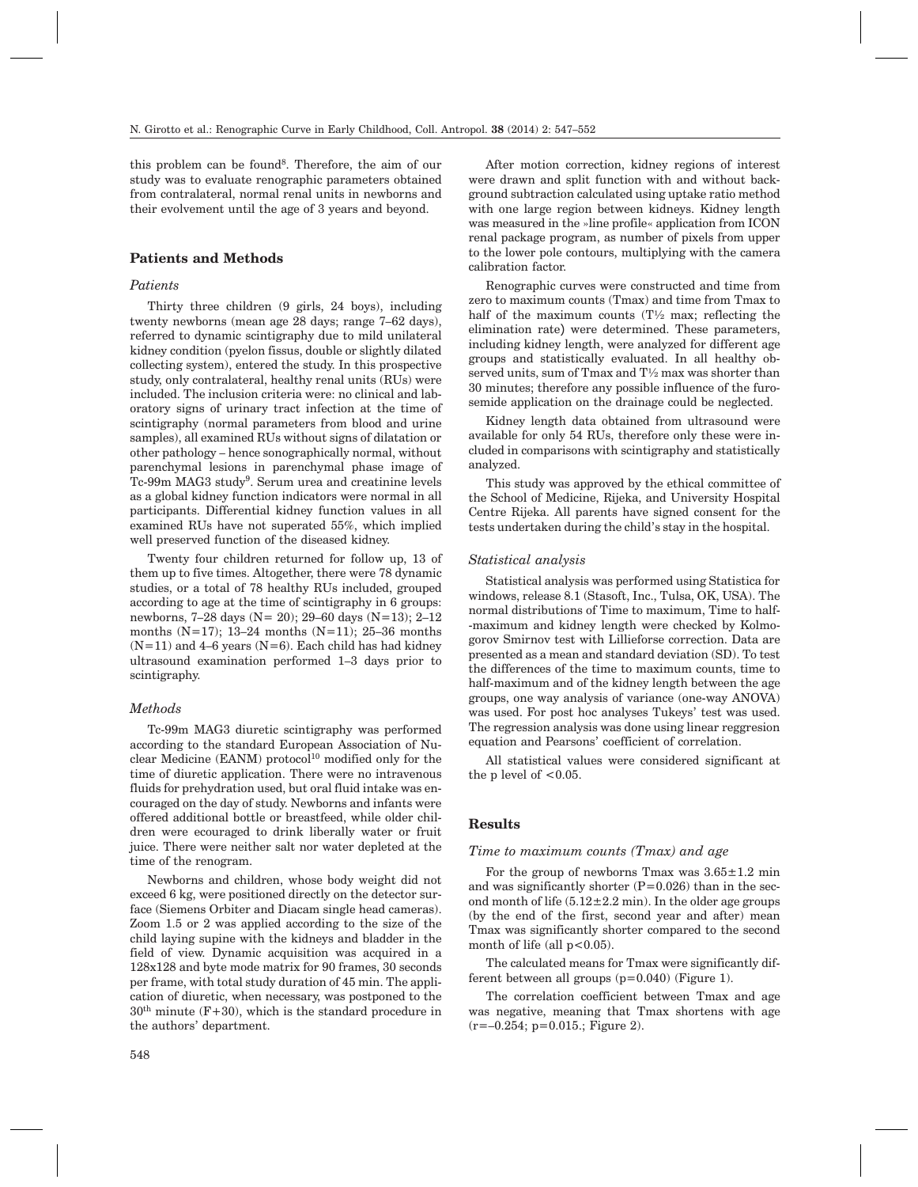this problem can be found<sup>8</sup>. Therefore, the aim of our study was to evaluate renographic parameters obtained from contralateral, normal renal units in newborns and their evolvement until the age of 3 years and beyond.

## **Patients and Methods**

#### *Patients*

Thirty three children (9 girls, 24 boys), including twenty newborns (mean age 28 days; range 7–62 days), referred to dynamic scintigraphy due to mild unilateral kidney condition (pyelon fissus, double or slightly dilated collecting system), entered the study. In this prospective study, only contralateral, healthy renal units (RUs) were included. The inclusion criteria were: no clinical and laboratory signs of urinary tract infection at the time of scintigraphy (normal parameters from blood and urine samples), all examined RUs without signs of dilatation or other pathology – hence sonographically normal, without parenchymal lesions in parenchymal phase image of Tc-99m MAG3 study<sup>9</sup>. Serum urea and creatinine levels as a global kidney function indicators were normal in all participants. Differential kidney function values in all examined RUs have not superated 55%, which implied well preserved function of the diseased kidney.

Twenty four children returned for follow up, 13 of them up to five times. Altogether, there were 78 dynamic studies, or a total of 78 healthy RUs included, grouped according to age at the time of scintigraphy in 6 groups: newborns, 7–28 days (N= 20); 29–60 days (N=13); 2–12 months  $(N=17)$ ; 13–24 months  $(N=11)$ ; 25–36 months  $(N=11)$  and 4–6 years  $(N=6)$ . Each child has had kidney ultrasound examination performed 1–3 days prior to scintigraphy.

#### *Methods*

Tc-99m MAG3 diuretic scintigraphy was performed according to the standard European Association of Nuclear Medicine (EANM) protocol<sup>10</sup> modified only for the time of diuretic application. There were no intravenous fluids for prehydration used, but oral fluid intake was encouraged on the day of study. Newborns and infants were offered additional bottle or breastfeed, while older children were ecouraged to drink liberally water or fruit juice. There were neither salt nor water depleted at the time of the renogram.

Newborns and children, whose body weight did not exceed 6 kg, were positioned directly on the detector surface (Siemens Orbiter and Diacam single head cameras). Zoom 1.5 or 2 was applied according to the size of the child laying supine with the kidneys and bladder in the field of view. Dynamic acquisition was acquired in a 128x128 and byte mode matrix for 90 frames, 30 seconds per frame, with total study duration of 45 min. The application of diuretic, when necessary, was postponed to the  $30<sup>th</sup>$  minute (F+30), which is the standard procedure in the authors' department.

After motion correction, kidney regions of interest were drawn and split function with and without background subtraction calculated using uptake ratio method with one large region between kidneys. Kidney length was measured in the »line profile« application from ICON renal package program, as number of pixels from upper to the lower pole contours, multiplying with the camera calibration factor.

Renographic curves were constructed and time from zero to maximum counts (Tmax) and time from Tmax to half of the maximum counts  $(T<sup>1</sup>/<sub>2</sub>)$  max; reflecting the elimination rate*)* were determined. These parameters, including kidney length, were analyzed for different age groups and statistically evaluated. In all healthy observed units, sum of Tmax and T½ max was shorter than 30 minutes; therefore any possible influence of the furosemide application on the drainage could be neglected.

Kidney length data obtained from ultrasound were available for only 54 RUs, therefore only these were included in comparisons with scintigraphy and statistically analyzed.

This study was approved by the ethical committee of the School of Medicine, Rijeka, and University Hospital Centre Rijeka. All parents have signed consent for the tests undertaken during the child's stay in the hospital.

#### *Statistical analysis*

Statistical analysis was performed using Statistica for windows, release 8.1 (Stasoft, Inc., Tulsa, OK, USA). The normal distributions of Time to maximum, Time to half- -maximum and kidney length were checked by Kolmogorov Smirnov test with Lillieforse correction. Data are presented as a mean and standard deviation (SD). To test the differences of the time to maximum counts, time to half-maximum and of the kidney length between the age groups, one way analysis of variance (one-way ANOVA) was used. For post hoc analyses Tukeys' test was used. The regression analysis was done using linear reggresion equation and Pearsons' coefficient of correlation.

All statistical values were considered significant at the p level of  $\leq 0.05$ .

## **Results**

#### *Time to maximum counts (Tmax) and age*

For the group of newborns Tmax was  $3.65 \pm 1.2$  min and was significantly shorter  $(P=0.026)$  than in the second month of life  $(5.12 \pm 2.2 \text{ min})$ . In the older age groups (by the end of the first, second year and after) mean Tmax was significantly shorter compared to the second month of life (all  $p < 0.05$ ).

The calculated means for Tmax were significantly different between all groups (p=0.040) (Figure 1).

The correlation coefficient between Tmax and age was negative, meaning that Tmax shortens with age  $(r=-0.254; p=0.015; Figure 2).$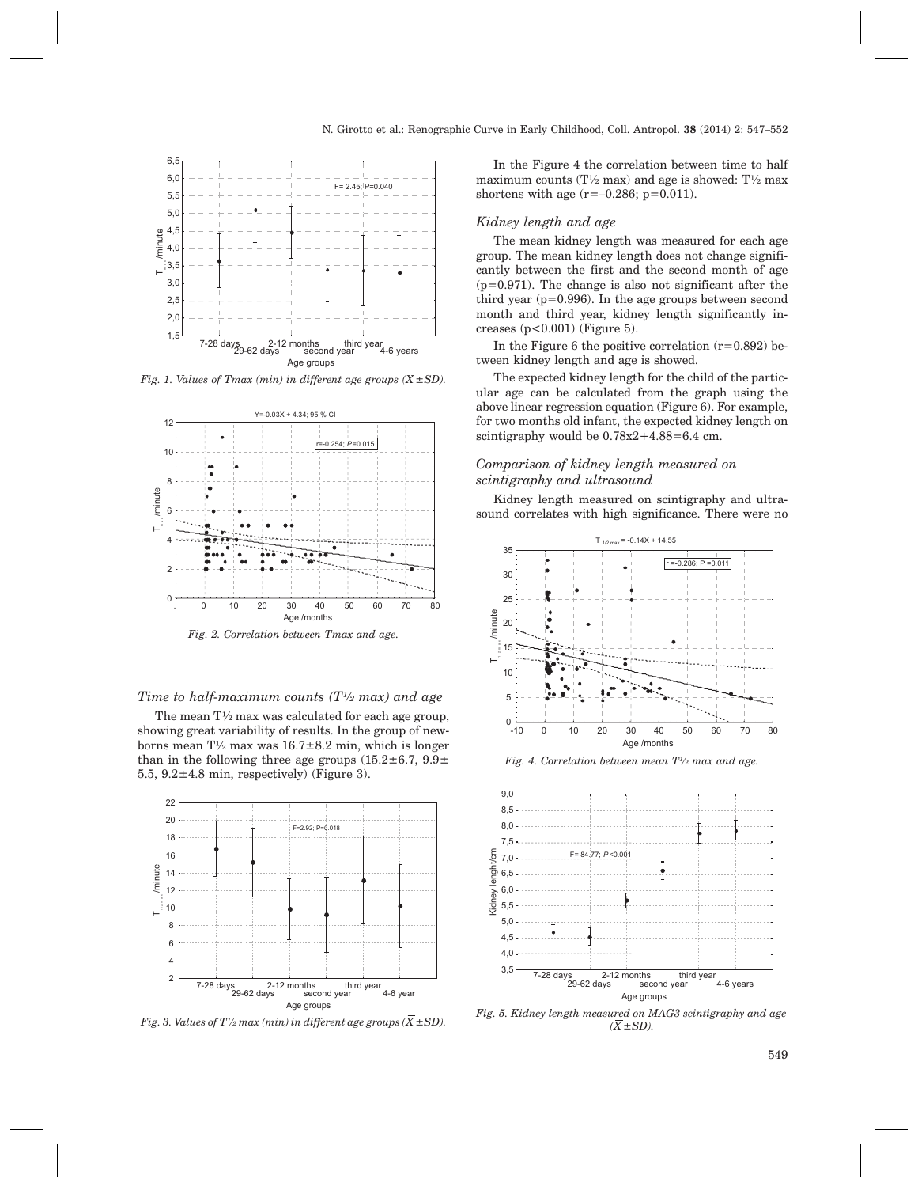

*Fig. 1. Values of Tmax (min) in different age groups*  $(\overline{X} \pm SD)$ *.* 



*Fig. 2. Correlation between Tmax and age.*

## *Time to half-maximum counts (T½ max) and age*

The mean  $T\frac{1}{2}$  max was calculated for each age group, showing great variability of results. In the group of newborns mean  $T\frac{1}{2}$  max was  $16.7\pm8.2$  min, which is longer than in the following three age groups  $(15.2 \pm 6.7, 9.9 \pm 1)$ 5.5,  $9.2 \pm 4.8$  min, respectively) (Figure 3).



*Fig. 3. Values of T<sup>1</sup>/2 max (min) in different age groups (* $\overline{X}$  *±SD).* 

In the Figure 4 the correlation between time to half maximum counts (T $\frac{1}{2}$  max) and age is showed: T $\frac{1}{2}$  max shortens with age  $(r=-0.286; p=0.011)$ .

#### *Kidney length and age*

The mean kidney length was measured for each age group. The mean kidney length does not change significantly between the first and the second month of age  $(p=0.971)$ . The change is also not significant after the third year  $(p=0.996)$ . In the age groups between second month and third year, kidney length significantly increases  $(p<0.001)$  (Figure 5).

In the Figure 6 the positive correlation  $(r=0.892)$  between kidney length and age is showed.

The expected kidney length for the child of the particular age can be calculated from the graph using the above linear regression equation (Figure 6). For example, for two months old infant, the expected kidney length on scintigraphy would be  $0.78x2+4.88=6.4$  cm.

## *Comparison of kidney length measured on scintigraphy and ultrasound*

Kidney length measured on scintigraphy and ultrasound correlates with high significance. There were no



*Fig. 4. Correlation between mean T½ max and age.*



*Fig. 5. Kidney length measured on MAG3 scintigraphy and age*  $(X \pm SD)$ .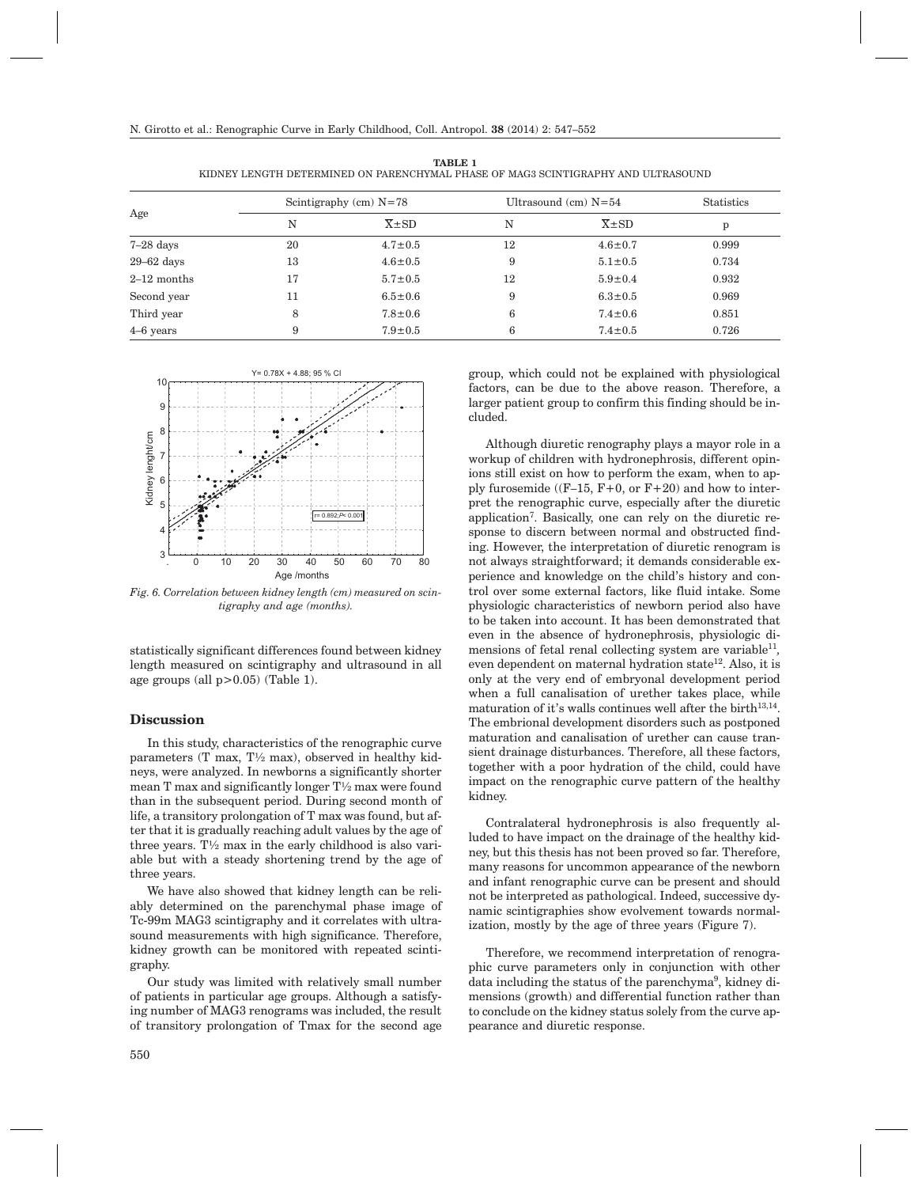| Age           | Scintigraphy (cm) $N=78$ |                       | Ultrasound $(cm)$ N=54 |                       | <b>Statistics</b> |
|---------------|--------------------------|-----------------------|------------------------|-----------------------|-------------------|
|               | N                        | $\overline{X} \pm SD$ | N                      | $\overline{X} \pm SD$ | p                 |
| $7-28$ days   | 20                       | $4.7 \pm 0.5$         | 12                     | $4.6 \pm 0.7$         | 0.999             |
| $29-62$ days  | 13                       | $4.6 \pm 0.5$         | 9                      | $5.1 \pm 0.5$         | 0.734             |
| $2-12$ months | 17                       | $5.7 \pm 0.5$         | 12                     | $5.9 \pm 0.4$         | 0.932             |
| Second year   | 11                       | $6.5 \pm 0.6$         | 9                      | $6.3 \pm 0.5$         | 0.969             |
| Third year    | 8                        | $7.8 \pm 0.6$         | 6                      | $7.4 \pm 0.6$         | 0.851             |
| $4-6$ years   | 9                        | $7.9 \pm 0.5$         | 6                      | $7.4 \pm 0.5$         | 0.726             |

**TABLE 1** KIDNEY LENGTH DETERMINED ON PARENCHYMAL PHASE OF MAG3 SCINTIGRAPHY AND ULTRASOUND



*Fig. 6. Correlation between kidney length (cm) measured on scintigraphy and age (months).*

statistically significant differences found between kidney length measured on scintigraphy and ultrasound in all age groups (all  $p>0.05$ ) (Table 1).

## **Discussion**

In this study, characteristics of the renographic curve parameters (T max,  $T\frac{1}{2}$  max), observed in healthy kidneys, were analyzed. In newborns a significantly shorter mean T max and significantly longer T½ max were found than in the subsequent period. During second month of life, a transitory prolongation of T max was found, but after that it is gradually reaching adult values by the age of three years.  $T\frac{1}{2}$  max in the early childhood is also variable but with a steady shortening trend by the age of three years.

We have also showed that kidney length can be reliably determined on the parenchymal phase image of Tc-99m MAG3 scintigraphy and it correlates with ultrasound measurements with high significance. Therefore, kidney growth can be monitored with repeated scintigraphy.

Our study was limited with relatively small number of patients in particular age groups. Although a satisfying number of MAG3 renograms was included, the result of transitory prolongation of Tmax for the second age

group, which could not be explained with physiological factors, can be due to the above reason. Therefore, a larger patient group to confirm this finding should be included.

Although diuretic renography plays a mayor role in a workup of children with hydronephrosis, different opinions still exist on how to perform the exam, when to apply furosemide ( $(F-15, F+0, \text{ or } F+20)$ ) and how to interpret the renographic curve, especially after the diuretic application7. Basically, one can rely on the diuretic response to discern between normal and obstructed finding. However, the interpretation of diuretic renogram is not always straightforward; it demands considerable experience and knowledge on the child's history and control over some external factors, like fluid intake. Some physiologic characteristics of newborn period also have to be taken into account. It has been demonstrated that even in the absence of hydronephrosis, physiologic dimensions of fetal renal collecting system are variable<sup>11</sup>, even dependent on maternal hydration state<sup>12</sup>. Also, it is only at the very end of embryonal development period when a full canalisation of urether takes place, while maturation of it's walls continues well after the birth $13,14$ . The embrional development disorders such as postponed maturation and canalisation of urether can cause transient drainage disturbances. Therefore, all these factors, together with a poor hydration of the child, could have impact on the renographic curve pattern of the healthy kidney.

Contralateral hydronephrosis is also frequently alluded to have impact on the drainage of the healthy kidney, but this thesis has not been proved so far. Therefore, many reasons for uncommon appearance of the newborn and infant renographic curve can be present and should not be interpreted as pathological. Indeed, successive dynamic scintigraphies show evolvement towards normalization, mostly by the age of three years (Figure 7).

Therefore, we recommend interpretation of renographic curve parameters only in conjunction with other data including the status of the parenchyma<sup>9</sup>, kidney dimensions (growth) and differential function rather than to conclude on the kidney status solely from the curve appearance and diuretic response.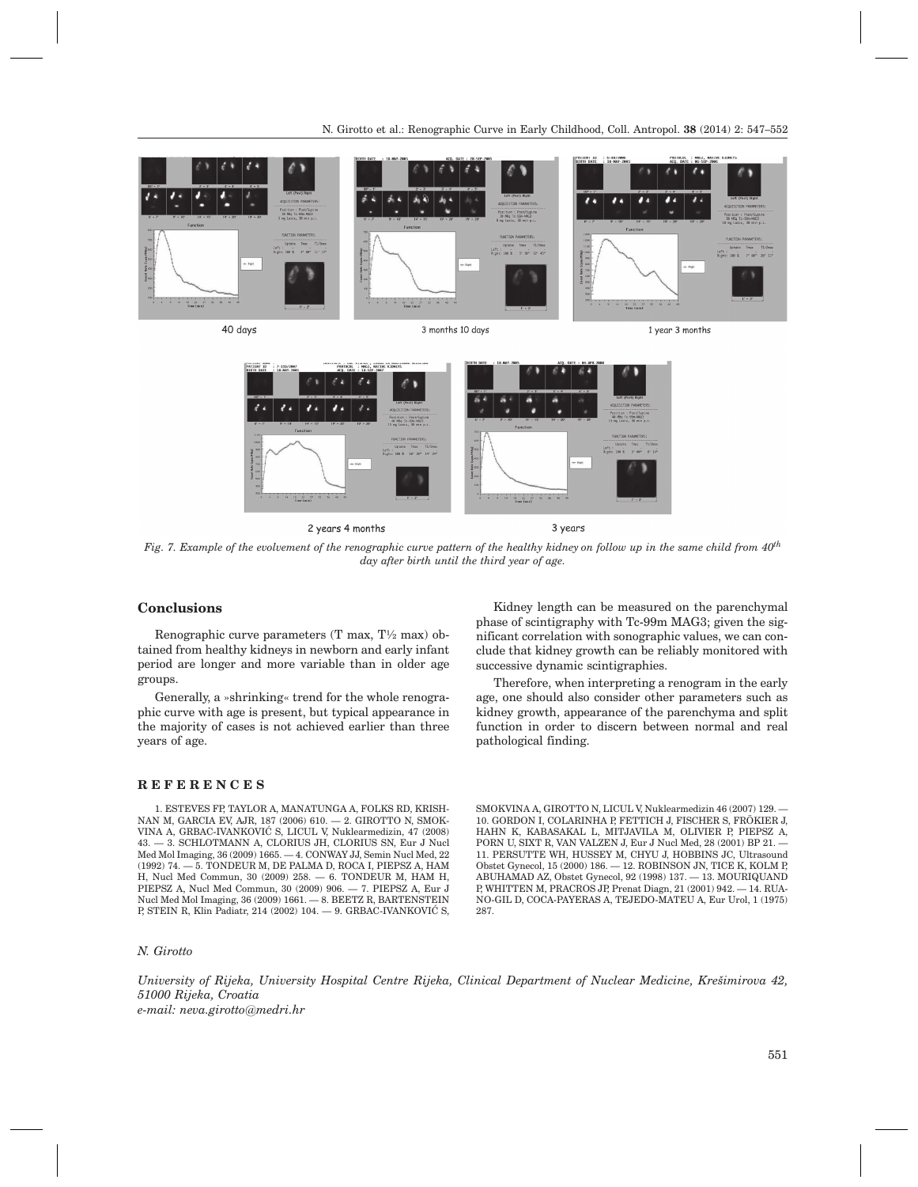

2 years 4 months

3 years

*Fig. 7. Example of the evolvement of the renographic curve pattern of the healthy kidney on follow up in the same child from 40th day after birth until the third year of age.*

## **Conclusions**

Renographic curve parameters (T max, T½ max) obtained from healthy kidneys in newborn and early infant period are longer and more variable than in older age groups.

Generally, a »shrinking« trend for the whole renographic curve with age is present, but typical appearance in the majority of cases is not achieved earlier than three years of age.

#### **REFERENCES**

1. ESTEVES FP, TAYLOR A, MANATUNGA A, FOLKS RD, KRISH-NAN M, GARCIA EV, AJR, 187 (2006) 610. — 2. GIROTTO N, SMOK-VINA A, GRBAC-IVANKOVIĆ S, LICUL V, Nuklearmedizin, 47 (2008) 43. — 3. SCHLOTMANN A, CLORIUS JH, CLORIUS SN, Eur J Nucl Med Mol Imaging, 36 (2009) 1665. — 4. CONWAY JJ, Semin Nucl Med, 22 (1992) 74. — 5. TONDEUR M, DE PALMA D, ROCA I, PIEPSZ A, HAM H, Nucl Med Commun, 30 (2009) 258. — 6. TONDEUR M, HAM H, PIEPSZ A, Nucl Med Commun, 30 (2009) 906. — 7. PIEPSZ A, Eur J Nucl Med Mol Imaging, 36 (2009) 1661. — 8. BEETZ R, BARTENSTEIN P, STEIN R, Klin Padiatr, 214 (2002) 104. - 9. GRBAC-IVANKOVIĆ S,

#### *N. Girotto*

Kidney length can be measured on the parenchymal phase of scintigraphy with Tc-99m MAG3; given the significant correlation with sonographic values, we can conclude that kidney growth can be reliably monitored with successive dynamic scintigraphies.

Therefore, when interpreting a renogram in the early age, one should also consider other parameters such as kidney growth, appearance of the parenchyma and split function in order to discern between normal and real pathological finding.

SMOKVINA A, GIROTTO N, LICUL V, Nuklearmedizin 46 (2007) 129. — 10. GORDON I, COLARINHA P, FETTICH J, FISCHER S, FRÖKIER J, HAHN K, KABASAKAL L, MITJAVILA M, OLIVIER P, PIEPSZ A, PORN U, SIXT R, VAN VALZEN J, Eur J Nucl Med, 28 (2001) BP 21. — 11. PERSUTTE WH, HUSSEY M, CHYU J, HOBBINS JC, Ultrasound Obstet Gynecol, 15 (2000) 186. — 12. ROBINSON JN, TICE K, KOLM P, ABUHAMAD AZ, Obstet Gynecol, 92 (1998) 137. — 13. MOURIQUAND P, WHITTEN M, PRACROS JP, Prenat Diagn, 21 (2001) 942. — 14. RUA-NO-GIL D, COCA-PAYERAS A, TEJEDO-MATEU A, Eur Urol, 1 (1975) 287.

*University of Rijeka, University Hospital Centre Rijeka, Clinical Department of Nuclear Medicine, Kre{imirova 42, 51000 Rijeka, Croatia e-mail: neva.girotto@medri.hr*